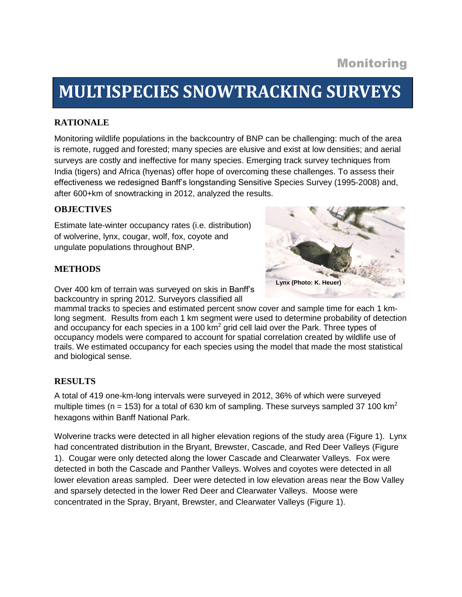# **MULTISPECIES SNOWTRACKING SURVEYS**

## **RATIONALE**

Monitoring wildlife populations in the backcountry of BNP can be challenging: much of the area is remote, rugged and forested; many species are elusive and exist at low densities; and aerial surveys are costly and ineffective for many species. Emerging track survey techniques from India (tigers) and Africa (hyenas) offer hope of overcoming these challenges. To assess their effectiveness we redesigned Banff's longstanding Sensitive Species Survey (1995-2008) and, after 600+km of snowtracking in 2012, analyzed the results.

#### **OBJECTIVES**

Estimate late-winter occupancy rates (i.e. distribution) of wolverine, lynx, cougar, wolf, fox, coyote and ungulate populations throughout BNP.

#### **METHODS**

**Lynx (Photo: K. Heuer)**

Over 400 km of terrain was surveyed on skis in Banff's backcountry in spring 2012. Surveyors classified all

mammal tracks to species and estimated percent snow cover and sample time for each 1 kmlong segment. Results from each 1 km segment were used to determine probability of detection and occupancy for each species in a 100 km<sup>2</sup> grid cell laid over the Park. Three types of occupancy models were compared to account for spatial correlation created by wildlife use of trails. We estimated occupancy for each species using the model that made the most statistical and biological sense.

### **RESULTS**

A total of 419 one-km-long intervals were surveyed in 2012, 36% of which were surveyed multiple times (n = 153) for a total of 630 km of sampling. These surveys sampled 37 100 km<sup>2</sup> hexagons within Banff National Park.

Wolverine tracks were detected in all higher elevation regions of the study area (Figure 1). Lynx had concentrated distribution in the Bryant, Brewster, Cascade, and Red Deer Valleys (Figure 1). Cougar were only detected along the lower Cascade and Clearwater Valleys. Fox were detected in both the Cascade and Panther Valleys. Wolves and coyotes were detected in all lower elevation areas sampled. Deer were detected in low elevation areas near the Bow Valley and sparsely detected in the lower Red Deer and Clearwater Valleys. Moose were concentrated in the Spray, Bryant, Brewster, and Clearwater Valleys (Figure 1).